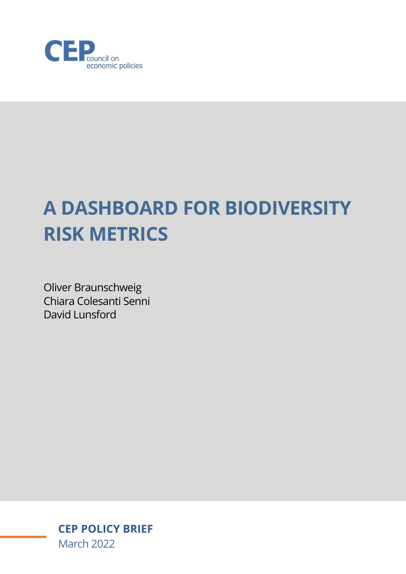

# **A DASHBOARD FOR BIODIVERSITY RISK METRICS**

Oliver Braunschweig Chiara Colesanti Senni David Lunsford

> **CEP POLICY BRIEF** March 2022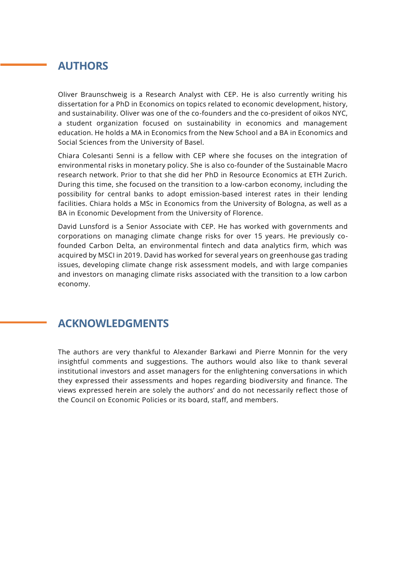## **AUTHORS**

Oliver Braunschweig is a Research Analyst with CEP. He is also currently writing his dissertation for a PhD in Economics on topics related to economic development, history, and sustainability. Oliver was one of the co-founders and the co-president of oikos NYC, a student organization focused on sustainability in economics and management education. He holds a MA in Economics from the New School and a BA in Economics and Social Sciences from the University of Basel.

Chiara Colesanti Senni is a fellow with CEP where she focuses on the integration of environmental risks in monetary policy. She is also co-founder of the Sustainable Macro research network. Prior to that she did her PhD in Resource Economics at ETH Zurich. During this time, she focused on the transition to a low-carbon economy, including the possibility for central banks to adopt emission-based interest rates in their lending facilities. Chiara holds a MSc in Economics from the University of Bologna, as well as a BA in Economic Development from the University of Florence.

David Lunsford is a Senior Associate with CEP. He has worked with governments and corporations on managing climate change risks for over 15 years. He previously cofounded Carbon Delta, an environmental fintech and data analytics firm, which was acquired by MSCI in 2019. David has worked for several years on greenhouse gas trading issues, developing climate change risk assessment models, and with large companies and investors on managing climate risks associated with the transition to a low carbon economy.

### **ACKNOWLEDGMENTS**

The authors are very thankful to Alexander Barkawi and Pierre Monnin for the very insightful comments and suggestions. The authors would also like to thank several institutional investors and asset managers for the enlightening conversations in which they expressed their assessments and hopes regarding biodiversity and finance. The views expressed herein are solely the authors' and do not necessarily reflect those of the Council on Economic Policies or its board, staff, and members.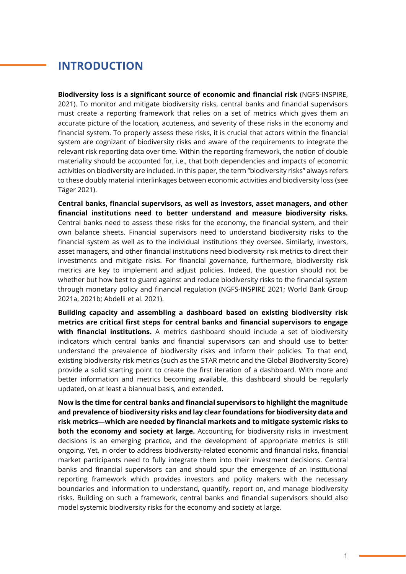## **INTRODUCTION**

**Biodiversity loss is a significant source of economic and financial risk** (NGFS-INSPIRE, 2021). To monitor and mitigate biodiversity risks, central banks and financial supervisors must create a reporting framework that relies on a set of metrics which gives them an accurate picture of the location, acuteness, and severity of these risks in the economy and financial system. To properly assess these risks, it is crucial that actors within the financial system are cognizant of biodiversity risks and aware of the requirements to integrate the relevant risk reporting data over time. Within the reporting framework, the notion of double materiality should be accounted for, i.e., that both dependencies and impacts of economic activities on biodiversity are included. In this paper, the term "biodiversity risks" always refers to these doubly material interlinkages between economic activities and biodiversity loss (see Täger 2021).

**Central banks, financial supervisors, as well as investors, asset managers, and other financial institutions need to better understand and measure biodiversity risks.** Central banks need to assess these risks for the economy, the financial system, and their own balance sheets. Financial supervisors need to understand biodiversity risks to the financial system as well as to the individual institutions they oversee. Similarly, investors, asset managers, and other financial institutions need biodiversity risk metrics to direct their investments and mitigate risks. For financial governance, furthermore, biodiversity risk metrics are key to implement and adjust policies. Indeed, the question should not be whether but how best to guard against and reduce biodiversity risks to the financial system through monetary policy and financial regulation (NGFS-INSPIRE 2021; World Bank Group 2021a, 2021b; Abdelli et al. 2021).

**Building capacity and assembling a dashboard based on existing biodiversity risk metrics are critical first steps for central banks and financial supervisors to engage with financial institutions.** A metrics dashboard should include a set of biodiversity indicators which central banks and financial supervisors can and should use to better understand the prevalence of biodiversity risks and inform their policies. To that end, existing biodiversity risk metrics (such as the STAR metric and the Global Biodiversity Score) provide a solid starting point to create the first iteration of a dashboard. With more and better information and metrics becoming available, this dashboard should be regularly updated, on at least a biannual basis, and extended.

**Now is the time for central banks and financial supervisors to highlight the magnitude and prevalence of biodiversity risks and lay clear foundations for biodiversity data and risk metrics—which are needed by financial markets and to mitigate systemic risks to both the economy and society at large.** Accounting for biodiversity risks in investment decisions is an emerging practice, and the development of appropriate metrics is still ongoing. Yet, in order to address biodiversity-related economic and financial risks, financial market participants need to fully integrate them into their investment decisions. Central banks and financial supervisors can and should spur the emergence of an institutional reporting framework which provides investors and policy makers with the necessary boundaries and information to understand, quantify, report on, and manage biodiversity risks. Building on such a framework, central banks and financial supervisors should also model systemic biodiversity risks for the economy and society at large.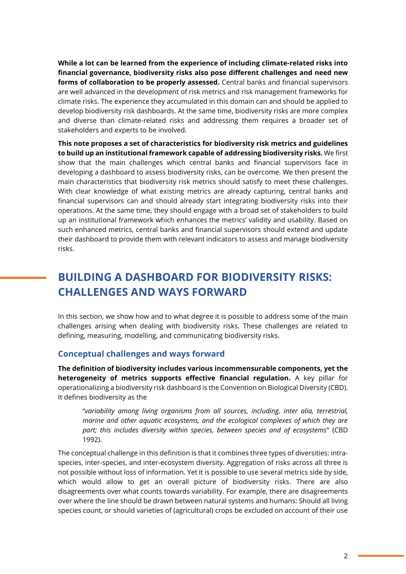**While a lot can be learned from the experience of including climate-related risks into financial governance, biodiversity risks also pose different challenges and need new forms of collaboration to be properly assessed.** Central banks and financial supervisors are well advanced in the development of risk metrics and risk management frameworks for climate risks. The experience they accumulated in this domain can and should be applied to develop biodiversity risk dashboards. At the same time, biodiversity risks are more complex and diverse than climate-related risks and addressing them requires a broader set of stakeholders and experts to be involved.

**This note proposes a set of characteristics for biodiversity risk metrics and guidelines to build up an institutional framework capable of addressing biodiversity risks.** We first show that the main challenges which central banks and financial supervisors face in developing a dashboard to assess biodiversity risks, can be overcome. We then present the main characteristics that biodiversity risk metrics should satisfy to meet these challenges. With clear knowledge of what existing metrics are already capturing, central banks and financial supervisors can and should already start integrating biodiversity risks into their operations. At the same time, they should engage with a broad set of stakeholders to build up an institutional framework which enhances the metrics' validity and usability. Based on such enhanced metrics, central banks and financial supervisors should extend and update their dashboard to provide them with relevant indicators to assess and manage biodiversity risks.

## **BUILDING A DASHBOARD FOR BIODIVERSITY RISKS: CHALLENGES AND WAYS FORWARD**

In this section, we show how and to what degree it is possible to address some of the main challenges arising when dealing with biodiversity risks. These challenges are related to defining, measuring, modelling, and communicating biodiversity risks.

#### **Conceptual challenges and ways forward**

**The definition of biodiversity includes various incommensurable components, yet the heterogeneity of metrics supports effective financial regulation.** A key pillar for operationalizing a biodiversity risk dashboard is the Convention on Biological Diversity (CBD). It defines biodiversity as the

"*variability among living organisms from all sources, including, inter alia, terrestrial, marine and other aquatic ecosystems, and the ecological complexes of which they are part; this includes diversity within species, between species and of ecosystems*" (CBD 1992).

The conceptual challenge in this definition is that it combines three types of diversities: intraspecies, inter-species, and inter-ecosystem diversity. Aggregation of risks across all three is not possible without loss of information. Yet it is possible to use several metrics side by side, which would allow to get an overall picture of biodiversity risks. There are also disagreements over what counts towards variability. For example, there are disagreements over where the line should be drawn between natural systems and humans: Should all living species count, or should varieties of (agricultural) crops be excluded on account of their use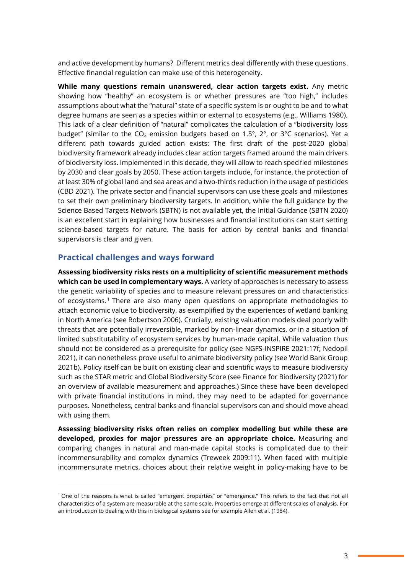and active development by humans? Different metrics deal differently with these questions. Effective financial regulation can make use of this heterogeneity.

**While many questions remain unanswered, clear action targets exist.** Any metric showing how "healthy" an ecosystem is or whether pressures are "too high," includes assumptions about what the "natural" state of a specific system is or ought to be and to what degree humans are seen as a species within or external to ecosystems (e.g., Williams 1980). This lack of a clear definition of "natural" complicates the calculation of a "biodiversity loss budget" (similar to the  $CO<sub>2</sub>$  emission budgets based on 1.5°, 2°, or 3°C scenarios). Yet a different path towards guided action exists: The first draft of the post-2020 global biodiversity framework already includes clear action targets framed around the main drivers of biodiversity loss. Implemented in this decade, they will allow to reach specified milestones by 2030 and clear goals by 2050. These action targets include, for instance, the protection of at least 30% of global land and sea areas and a two-thirds reduction in the usage of pesticides (CBD 2021). The private sector and financial supervisors can use these goals and milestones to set their own preliminary biodiversity targets. In addition, while the full guidance by the Science Based Targets Network (SBTN) is not available yet, the Initial Guidance (SBTN 2020) is an excellent start in explaining how businesses and financial institutions can start setting science-based targets for nature. The basis for action by central banks and financial supervisors is clear and given.

#### **Practical challenges and ways forward**

**Assessing biodiversity risks rests on a multiplicity of scientific measurement methods which can be used in complementary ways.** A variety of approaches is necessary to assess the genetic variability of species and to measure relevant pressures on and characteristics of ecosystems. <sup>1</sup> There are also many open questions on appropriate methodologies to attach economic value to biodiversity, as exemplified by the experiences of wetland banking in North America (see Robertson 2006). Crucially, existing valuation models deal poorly with threats that are potentially irreversible, marked by non-linear dynamics, or in a situation of limited substitutability of ecosystem services by human-made capital. While valuation thus should not be considered as a prerequisite for policy (see NGFS-INSPIRE 2021:17f; Nedopil 2021), it can nonetheless prove useful to animate biodiversity policy (see World Bank Group 2021b). Policy itself can be built on existing clear and scientific ways to measure biodiversity such as the STAR metric and Global Biodiversity Score (see Finance for Biodiversity (2021) for an overview of available measurement and approaches.) Since these have been developed with private financial institutions in mind, they may need to be adapted for governance purposes. Nonetheless, central banks and financial supervisors can and should move ahead with using them.

**Assessing biodiversity risks often relies on complex modelling but while these are developed, proxies for major pressures are an appropriate choice.** Measuring and comparing changes in natural and man-made capital stocks is complicated due to their incommensurability and complex dynamics (Treweek 2009:11). When faced with multiple incommensurate metrics, choices about their relative weight in policy-making have to be

<sup>1</sup> One of the reasons is what is called "emergent properties" or "emergence." This refers to the fact that not all characteristics of a system are measurable at the same scale. Properties emerge at different scales of analysis. For an introduction to dealing with this in biological systems see for example Allen et al. (1984).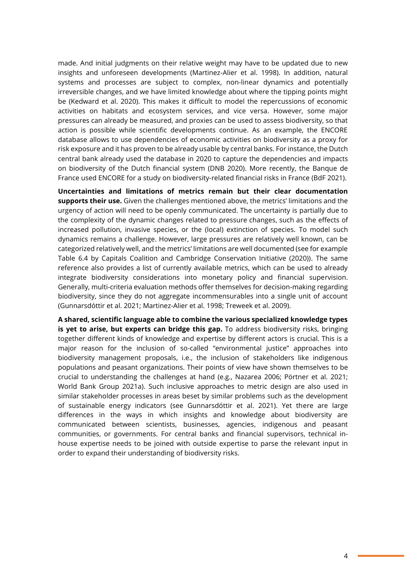made. And initial judgments on their relative weight may have to be updated due to new insights and unforeseen developments (Martinez-Alier et al. 1998). In addition, natural systems and processes are subject to complex, non-linear dynamics and potentially irreversible changes, and we have limited knowledge about where the tipping points might be (Kedward et al. 2020). This makes it difficult to model the repercussions of economic activities on habitats and ecosystem services, and vice versa. However, some major pressures can already be measured, and proxies can be used to assess biodiversity, so that action is possible while scientific developments continue. As an example, the ENCORE database allows to use dependencies of economic activities on biodiversity as a proxy for risk exposure and it has proven to be already usable by central banks. For instance, the Dutch central bank already used the database in 2020 to capture the dependencies and impacts on biodiversity of the Dutch financial system (DNB 2020). More recently, the Banque de France used ENCORE for a study on biodiversity-related financial risks in France (BdF 2021).

**Uncertainties and limitations of metrics remain but their clear documentation supports their use.** Given the challenges mentioned above, the metrics' limitations and the urgency of action will need to be openly communicated. The uncertainty is partially due to the complexity of the dynamic changes related to pressure changes, such as the effects of increased pollution, invasive species, or the (local) extinction of species. To model such dynamics remains a challenge. However, large pressures are relatively well known, can be categorized relatively well, and the metrics' limitations are well documented (see for example Table 6.4 by Capitals Coalition and Cambridge Conservation Initiative (2020)). The same reference also provides a list of currently available metrics, which can be used to already integrate biodiversity considerations into monetary policy and financial supervision. Generally, multi-criteria evaluation methods offer themselves for decision-making regarding biodiversity, since they do not aggregate incommensurables into a single unit of account (Gunnarsdóttir et al. 2021; Martinez-Alier et al. 1998; Treweek et al. 2009).

**A shared, scientific language able to combine the various specialized knowledge types is yet to arise, but experts can bridge this gap.** To address biodiversity risks, bringing together different kinds of knowledge and expertise by different actors is crucial. This is a major reason for the inclusion of so-called "environmental justice" approaches into biodiversity management proposals, i.e., the inclusion of stakeholders like indigenous populations and peasant organizations. Their points of view have shown themselves to be crucial to understanding the challenges at hand (e.g., Nazarea 2006; Pörtner et al. 2021; World Bank Group 2021a). Such inclusive approaches to metric design are also used in similar stakeholder processes in areas beset by similar problems such as the development of sustainable energy indicators (see Gunnarsdóttir et al. 2021). Yet there are large differences in the ways in which insights and knowledge about biodiversity are communicated between scientists, businesses, agencies, indigenous and peasant communities, or governments. For central banks and financial supervisors, technical inhouse expertise needs to be joined with outside expertise to parse the relevant input in order to expand their understanding of biodiversity risks.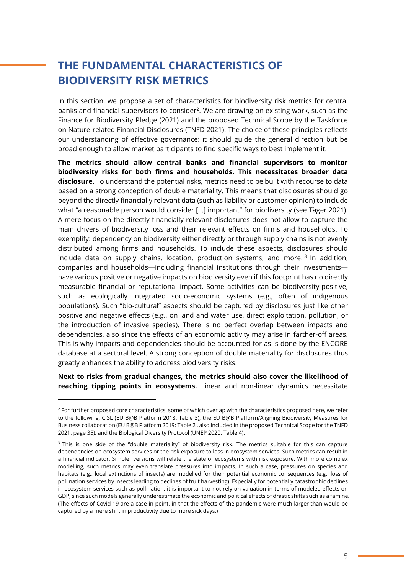# **THE FUNDAMENTAL CHARACTERISTICS OF BIODIVERSITY RISK METRICS**

In this section, we propose a set of characteristics for biodiversity risk metrics for central banks and financial supervisors to consider<sup>2</sup>. We are drawing on existing work, such as the Finance for Biodiversity Pledge (2021) and the proposed Technical Scope by the Taskforce on Nature-related Financial Disclosures (TNFD 2021). The choice of these principles reflects our understanding of effective governance: it should guide the general direction but be broad enough to allow market participants to find specific ways to best implement it.

**The metrics should allow central banks and financial supervisors to monitor biodiversity risks for both firms and households. This necessitates broader data disclosure.** To understand the potential risks, metrics need to be built with recourse to data based on a strong conception of double materiality. This means that disclosures should go beyond the directly financially relevant data (such as liability or customer opinion) to include what "a reasonable person would consider [...] important" for biodiversity (see Täger 2021). A mere focus on the directly financially relevant disclosures does not allow to capture the main drivers of biodiversity loss and their relevant effects on firms and households. To exemplify: dependency on biodiversity either directly or through supply chains is not evenly distributed among firms and households. To include these aspects, disclosures should include data on supply chains, location, production systems, and more.<sup>3</sup> In addition, companies and households—including financial institutions through their investments have various positive or negative impacts on biodiversity even if this footprint has no directly measurable financial or reputational impact. Some activities can be biodiversity-positive, such as ecologically integrated socio-economic systems (e.g., often of indigenous populations). Such "bio-cultural" aspects should be captured by disclosures just like other positive and negative effects (e.g., on land and water use, direct exploitation, pollution, or the introduction of invasive species). There is no perfect overlap between impacts and dependencies, also since the effects of an economic activity may arise in farther-off areas. This is why impacts and dependencies should be accounted for as is done by the ENCORE database at a sectoral level. A strong conception of double materiality for disclosures thus greatly enhances the ability to address biodiversity risks.

**Next to risks from gradual changes, the metrics should also cover the likelihood of reaching tipping points in ecosystems.** Linear and non-linear dynamics necessitate

<sup>&</sup>lt;sup>2</sup> For further proposed core characteristics, some of which overlap with the characteristics proposed here, we refer to the following: CISL (EU B@B Platform 2018: Table 3); the EU B@B Platform/Aligning Biodiversity Measures for Business collaboration (EU B@B Platform 2019: Table 2 , also included in the proposed Technical Scope for the TNFD 2021: page 35); and the Biological Diversity Protocol (UNEP 2020: Table 4).

<sup>&</sup>lt;sup>3</sup> This is one side of the "double materiality" of biodiversity risk. The metrics suitable for this can capture dependencies on ecosystem services or the risk exposure to loss in ecosystem services. Such metrics can result in a financial indicator. Simpler versions will relate the state of ecosystems with risk exposure. With more complex modelling, such metrics may even translate pressures into impacts*.* In such a case, pressures on species and habitats (e.g., local extinctions of insects) are modelled for their potential economic consequences (e.g., loss of pollination services by insects leading to declines of fruit harvesting). Especially for potentially catastrophic declines in ecosystem services such as pollination, it is important to not rely on valuation in terms of modeled effects on GDP, since such models generally underestimate the economic and political effects of drastic shifts such as a famine. (The effects of Covid-19 are a case in point, in that the effects of the pandemic were much larger than would be captured by a mere shift in productivity due to more sick days.)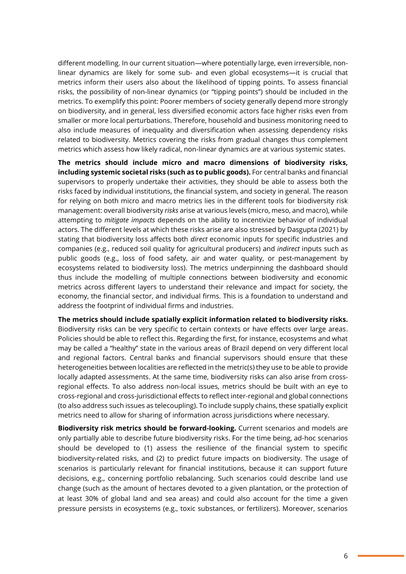different modelling. In our current situation—where potentially large, even irreversible, nonlinear dynamics are likely for some sub- and even global ecosystems—it is crucial that metrics inform their users also about the likelihood of tipping points. To assess financial risks, the possibility of non-linear dynamics (or "tipping points") should be included in the metrics. To exemplify this point: Poorer members of society generally depend more strongly on biodiversity, and in general, less diversified economic actors face higher risks even from smaller or more local perturbations. Therefore, household and business monitoring need to also include measures of inequality and diversification when assessing dependency risks related to biodiversity. Metrics covering the risks from gradual changes thus complement metrics which assess how likely radical, non-linear dynamics are at various systemic states.

**The metrics should include micro and macro dimensions of biodiversity risks, including systemic societal risks (such as to public goods).** For central banks and financial supervisors to properly undertake their activities, they should be able to assess both the risks faced by individual institutions, the financial system, and society in general. The reason for relying on both micro and macro metrics lies in the different tools for biodiversity risk management: overall biodiversity *risks* arise at various levels (micro, meso, and macro), while attempting to *mitigate impacts* depends on the ability to incentivize behavior of individual actors. The different levels at which these risks arise are also stressed by Dasgupta (2021) by stating that biodiversity loss affects both *direct* economic inputs for specific industries and companies (e.g., reduced soil quality for agricultural producers) and *indirect* inputs such as public goods (e.g., loss of food safety, air and water quality, or pest-management by ecosystems related to biodiversity loss). The metrics underpinning the dashboard should thus include the modelling of multiple connections between biodiversity and economic metrics across different layers to understand their relevance and impact for society, the economy, the financial sector, and individual firms. This is a foundation to understand and address the footprint of individual firms and industries.

**The metrics should include spatially explicit information related to biodiversity risks.**  Biodiversity risks can be very specific to certain contexts or have effects over large areas. Policies should be able to reflect this. Regarding the first, for instance, ecosystems and what may be called a "healthy" state in the various areas of Brazil depend on very different local and regional factors. Central banks and financial supervisors should ensure that these heterogeneities between localities are reflected in the metric(s) they use to be able to provide locally adapted assessments. At the same time, biodiversity risks can also arise from crossregional effects. To also address non-local issues, metrics should be built with an eye to cross-regional and cross-jurisdictional effects to reflect inter-regional and global connections (to also address such issues as telecoupling). To include supply chains, these spatially explicit metrics need to allow for sharing of information across jurisdictions where necessary.

**Biodiversity risk metrics should be forward-looking.** Current scenarios and models are only partially able to describe future biodiversity risks. For the time being, ad-hoc scenarios should be developed to (1) assess the resilience of the financial system to specific biodiversity-related risks, and (2) to predict future impacts on biodiversity. The usage of scenarios is particularly relevant for financial institutions, because it can support future decisions, e.g., concerning portfolio rebalancing. Such scenarios could describe land use change (such as the amount of hectares devoted to a given plantation, or the protection of at least 30% of global land and sea areas) and could also account for the time a given pressure persists in ecosystems (e.g., toxic substances, or fertilizers). Moreover, scenarios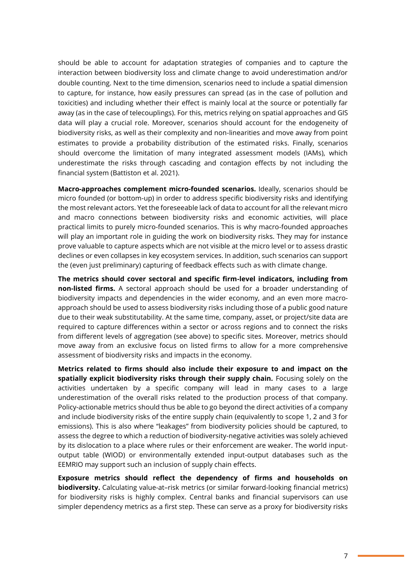should be able to account for adaptation strategies of companies and to capture the interaction between biodiversity loss and climate change to avoid underestimation and/or double counting. Next to the time dimension, scenarios need to include a spatial dimension to capture, for instance, how easily pressures can spread (as in the case of pollution and toxicities) and including whether their effect is mainly local at the source or potentially far away (as in the case of telecouplings). For this, metrics relying on spatial approaches and GIS data will play a crucial role. Moreover, scenarios should account for the endogeneity of biodiversity risks, as well as their complexity and non-linearities and move away from point estimates to provide a probability distribution of the estimated risks. Finally, scenarios should overcome the limitation of many integrated assessment models (IAMs), which underestimate the risks through cascading and contagion effects by not including the financial system (Battiston et al. 2021).

**Macro-approaches complement micro-founded scenarios.** Ideally, scenarios should be micro founded (or bottom-up) in order to address specific biodiversity risks and identifying the most relevant actors. Yet the foreseeable lack of data to account for all the relevant micro and macro connections between biodiversity risks and economic activities, will place practical limits to purely micro-founded scenarios. This is why macro-founded approaches will play an important role in guiding the work on biodiversity risks. They may for instance prove valuable to capture aspects which are not visible at the micro level or to assess drastic declines or even collapses in key ecosystem services. In addition, such scenarios can support the (even just preliminary) capturing of feedback effects such as with climate change.

**The metrics should cover sectoral and specific firm-level indicators, including from non-listed firms.** A sectoral approach should be used for a broader understanding of biodiversity impacts and dependencies in the wider economy, and an even more macroapproach should be used to assess biodiversity risks including those of a public good nature due to their weak substitutability. At the same time, company, asset, or project/site data are required to capture differences within a sector or across regions and to connect the risks from different levels of aggregation (see above) to specific sites. Moreover, metrics should move away from an exclusive focus on listed firms to allow for a more comprehensive assessment of biodiversity risks and impacts in the economy.

**Metrics related to firms should also include their exposure to and impact on the spatially explicit biodiversity risks through their supply chain.** Focusing solely on the activities undertaken by a specific company will lead in many cases to a large underestimation of the overall risks related to the production process of that company. Policy-actionable metrics should thus be able to go beyond the direct activities of a company and include biodiversity risks of the entire supply chain (equivalently to scope 1, 2 and 3 for emissions). This is also where "leakages" from biodiversity policies should be captured, to assess the degree to which a reduction of biodiversity-negative activities was solely achieved by its dislocation to a place where rules or their enforcement are weaker. The world inputoutput table (WIOD) or environmentally extended input-output databases such as the EEMRIO may support such an inclusion of supply chain effects.

**Exposure metrics should reflect the dependency of firms and households on biodiversity.** Calculating value-at–risk metrics (or similar forward-looking financial metrics) for biodiversity risks is highly complex. Central banks and financial supervisors can use simpler dependency metrics as a first step. These can serve as a proxy for biodiversity risks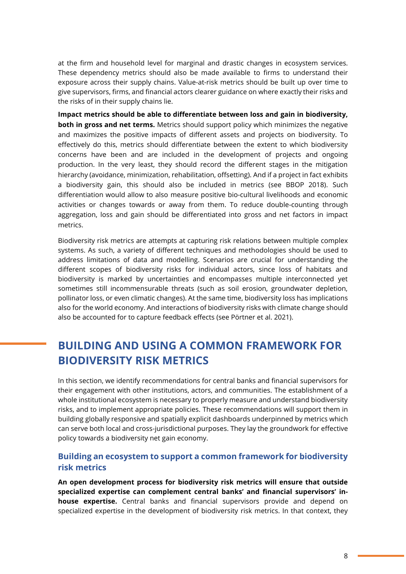at the firm and household level for marginal and drastic changes in ecosystem services. These dependency metrics should also be made available to firms to understand their exposure across their supply chains. Value-at-risk metrics should be built up over time to give supervisors, firms, and financial actors clearer guidance on where exactly their risks and the risks of in their supply chains lie.

**Impact metrics should be able to differentiate between loss and gain in biodiversity, both in gross and net terms.** Metrics should support policy which minimizes the negative and maximizes the positive impacts of different assets and projects on biodiversity. To effectively do this, metrics should differentiate between the extent to which biodiversity concerns have been and are included in the development of projects and ongoing production. In the very least, they should record the different stages in the mitigation hierarchy (avoidance, minimization, rehabilitation, offsetting). And if a project in fact exhibits a biodiversity gain, this should also be included in metrics (see BBOP 2018). Such differentiation would allow to also measure positive bio-cultural livelihoods and economic activities or changes towards or away from them. To reduce double-counting through aggregation, loss and gain should be differentiated into gross and net factors in impact metrics.

Biodiversity risk metrics are attempts at capturing risk relations between multiple complex systems. As such, a variety of different techniques and methodologies should be used to address limitations of data and modelling. Scenarios are crucial for understanding the different scopes of biodiversity risks for individual actors, since loss of habitats and biodiversity is marked by uncertainties and encompasses multiple interconnected yet sometimes still incommensurable threats (such as soil erosion, groundwater depletion, pollinator loss, or even climatic changes). At the same time, biodiversity loss has implications also for the world economy. And interactions of biodiversity risks with climate change should also be accounted for to capture feedback effects (see Pörtner et al. 2021).

## **BUILDING AND USING A COMMON FRAMEWORK FOR BIODIVERSITY RISK METRICS**

In this section, we identify recommendations for central banks and financial supervisors for their engagement with other institutions, actors, and communities. The establishment of a whole institutional ecosystem is necessary to properly measure and understand biodiversity risks, and to implement appropriate policies. These recommendations will support them in building globally responsive and spatially explicit dashboards underpinned by metrics which can serve both local and cross-jurisdictional purposes. They lay the groundwork for effective policy towards a biodiversity net gain economy.

#### **Building an ecosystem to support a common framework for biodiversity risk metrics**

**An open development process for biodiversity risk metrics will ensure that outside specialized expertise can complement central banks' and financial supervisors' inhouse expertise.** Central banks and financial supervisors provide and depend on specialized expertise in the development of biodiversity risk metrics. In that context, they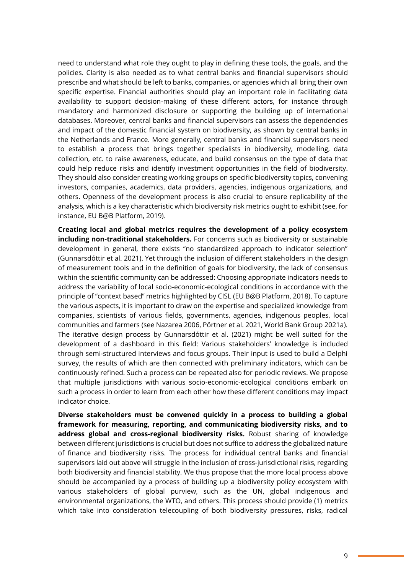need to understand what role they ought to play in defining these tools, the goals, and the policies. Clarity is also needed as to what central banks and financial supervisors should prescribe and what should be left to banks, companies, or agencies which all bring their own specific expertise. Financial authorities should play an important role in facilitating data availability to support decision-making of these different actors, for instance through mandatory and harmonized disclosure or supporting the building up of international databases. Moreover, central banks and financial supervisors can assess the dependencies and impact of the domestic financial system on biodiversity, as shown by central banks in the Netherlands and France. More generally, central banks and financial supervisors need to establish a process that brings together specialists in biodiversity, modelling, data collection, etc. to raise awareness, educate, and build consensus on the type of data that could help reduce risks and identify investment opportunities in the field of biodiversity. They should also consider creating working groups on specific biodiversity topics, convening investors, companies, academics, data providers, agencies, indigenous organizations, and others. Openness of the development process is also crucial to ensure replicability of the analysis, which is a key characteristic which biodiversity risk metrics ought to exhibit (see, for instance, EU B@B Platform, 2019).

**Creating local and global metrics requires the development of a policy ecosystem including non-traditional stakeholders.** For concerns such as biodiversity or sustainable development in general, there exists "no standardized approach to indicator selection" (Gunnarsdóttir et al. 2021). Yet through the inclusion of different stakeholders in the design of measurement tools and in the definition of goals for biodiversity, the lack of consensus within the scientific community can be addressed: Choosing appropriate indicators needs to address the variability of local socio-economic-ecological conditions in accordance with the principle of "context based" metrics highlighted by CISL (EU B@B Platform, 2018). To capture the various aspects, it is important to draw on the expertise and specialized knowledge from companies, scientists of various fields, governments, agencies, indigenous peoples, local communities and farmers (see Nazarea 2006, Pörtner et al. 2021, World Bank Group 2021a). The iterative design process by Gunnarsdóttir et al. (2021) might be well suited for the development of a dashboard in this field: Various stakeholders' knowledge is included through semi-structured interviews and focus groups. Their input is used to build a Delphi survey, the results of which are then connected with preliminary indicators, which can be continuously refined. Such a process can be repeated also for periodic reviews. We propose that multiple jurisdictions with various socio-economic-ecological conditions embark on such a process in order to learn from each other how these different conditions may impact indicator choice.

**Diverse stakeholders must be convened quickly in a process to building a global framework for measuring, reporting, and communicating biodiversity risks, and to address global and cross-regional biodiversity risks.** Robust sharing of knowledge between different jurisdictions is crucial but does not suffice to address the globalized nature of finance and biodiversity risks. The process for individual central banks and financial supervisors laid out above will struggle in the inclusion of cross-jurisdictional risks, regarding both biodiversity and financial stability. We thus propose that the more local process above should be accompanied by a process of building up a biodiversity policy ecosystem with various stakeholders of global purview, such as the UN, global indigenous and environmental organizations, the WTO, and others. This process should provide (1) metrics which take into consideration telecoupling of both biodiversity pressures, risks, radical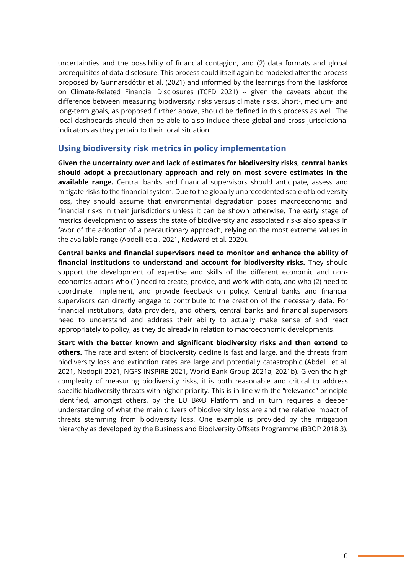uncertainties and the possibility of financial contagion, and (2) data formats and global prerequisites of data disclosure. This process could itself again be modeled after the process proposed by Gunnarsdóttir et al. (2021) and informed by the learnings from the Taskforce on Climate-Related Financial Disclosures (TCFD 2021) -- given the caveats about the difference between measuring biodiversity risks versus climate risks. Short-, medium- and long-term goals, as proposed further above, should be defined in this process as well. The local dashboards should then be able to also include these global and cross-jurisdictional indicators as they pertain to their local situation.

#### **Using biodiversity risk metrics in policy implementation**

**Given the uncertainty over and lack of estimates for biodiversity risks, central banks should adopt a precautionary approach and rely on most severe estimates in the available range.** Central banks and financial supervisors should anticipate, assess and mitigate risks to the financial system. Due to the globally unprecedented scale of biodiversity loss, they should assume that environmental degradation poses macroeconomic and financial risks in their jurisdictions unless it can be shown otherwise. The early stage of metrics development to assess the state of biodiversity and associated risks also speaks in favor of the adoption of a precautionary approach, relying on the most extreme values in the available range (Abdelli et al. 2021, Kedward et al. 2020).

**Central banks and financial supervisors need to monitor and enhance the ability of financial institutions to understand and account for biodiversity risks.** They should support the development of expertise and skills of the different economic and noneconomics actors who (1) need to create, provide, and work with data, and who (2) need to coordinate, implement, and provide feedback on policy. Central banks and financial supervisors can directly engage to contribute to the creation of the necessary data. For financial institutions, data providers, and others, central banks and financial supervisors need to understand and address their ability to actually make sense of and react appropriately to policy, as they do already in relation to macroeconomic developments.

**Start with the better known and significant biodiversity risks and then extend to others.** The rate and extent of biodiversity decline is fast and large, and the threats from biodiversity loss and extinction rates are large and potentially catastrophic (Abdelli et al. 2021, Nedopil 2021, NGFS-INSPIRE 2021, World Bank Group 2021a, 2021b). Given the high complexity of measuring biodiversity risks, it is both reasonable and critical to address specific biodiversity threats with higher priority. This is in line with the "relevance" principle identified, amongst others, by the EU B@B Platform and in turn requires a deeper understanding of what the main drivers of biodiversity loss are and the relative impact of threats stemming from biodiversity loss. One example is provided by the mitigation hierarchy as developed by the Business and Biodiversity Offsets Programme (BBOP 2018:3).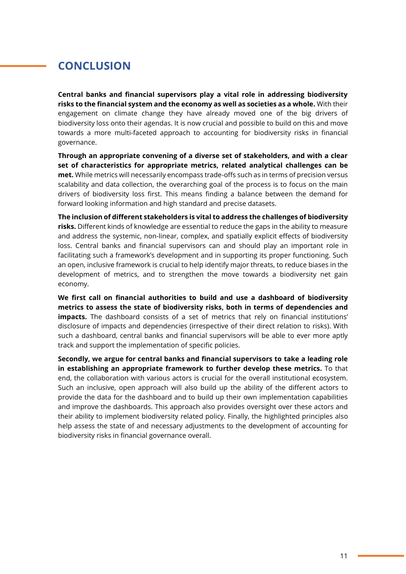# **CONCLUSION**

**Central banks and financial supervisors play a vital role in addressing biodiversity risks to the financial system and the economy as well as societies as a whole.** With their engagement on climate change they have already moved one of the big drivers of biodiversity loss onto their agendas. It is now crucial and possible to build on this and move towards a more multi-faceted approach to accounting for biodiversity risks in financial governance.

**Through an appropriate convening of a diverse set of stakeholders, and with a clear set of characteristics for appropriate metrics, related analytical challenges can be met.** While metrics will necessarily encompass trade-offs such as in terms of precision versus scalability and data collection, the overarching goal of the process is to focus on the main drivers of biodiversity loss first. This means finding a balance between the demand for forward looking information and high standard and precise datasets.

**The inclusion of different stakeholders is vital to address the challenges of biodiversity risks.** Different kinds of knowledge are essential to reduce the gaps in the ability to measure and address the systemic, non-linear, complex, and spatially explicit effects of biodiversity loss. Central banks and financial supervisors can and should play an important role in facilitating such a framework's development and in supporting its proper functioning. Such an open, inclusive framework is crucial to help identify major threats, to reduce biases in the development of metrics, and to strengthen the move towards a biodiversity net gain economy.

**We first call on financial authorities to build and use a dashboard of biodiversity metrics to assess the state of biodiversity risks, both in terms of dependencies and impacts.** The dashboard consists of a set of metrics that rely on financial institutions' disclosure of impacts and dependencies (irrespective of their direct relation to risks). With such a dashboard, central banks and financial supervisors will be able to ever more aptly track and support the implementation of specific policies.

**Secondly, we argue for central banks and financial supervisors to take a leading role in establishing an appropriate framework to further develop these metrics.** To that end, the collaboration with various actors is crucial for the overall institutional ecosystem. Such an inclusive, open approach will also build up the ability of the different actors to provide the data for the dashboard and to build up their own implementation capabilities and improve the dashboards. This approach also provides oversight over these actors and their ability to implement biodiversity related policy. Finally, the highlighted principles also help assess the state of and necessary adjustments to the development of accounting for biodiversity risks in financial governance overall.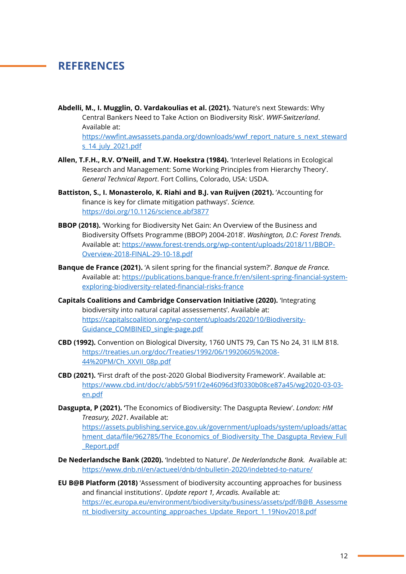### **REFERENCES**

**Abdelli, M., I. Mugglin, O. Vardakoulias et al. (2021).** 'Nature's next Stewards: Why Central Bankers Need to Take Action on Biodiversity Risk'. *WWF-Switzerland*. Available at:

[https://wwfint.awsassets.panda.org/downloads/wwf\\_report\\_nature\\_s\\_next\\_steward](https://wwfint.awsassets.panda.org/downloads/wwf_report_nature_s_next_stewards_14_july_2021.pdf) [s\\_14\\_july\\_2021.pdf](https://wwfint.awsassets.panda.org/downloads/wwf_report_nature_s_next_stewards_14_july_2021.pdf)

- **Allen, T.F.H., R.V. O'Neill, and T.W. Hoekstra (1984).** 'Interlevel Relations in Ecological Research and Management: Some Working Principles from Hierarchy Theory'. *General Technical Report*. Fort Collins, Colorado, USA: USDA.
- **Battiston, S., I. Monasterolo, K. Riahi and B.J. van Ruijven (2021).** 'Accounting for finance is key for climate mitigation pathways'. *Science.* <https://doi.org/10.1126/science.abf3877>
- **BBOP (2018).** 'Working for Biodiversity Net Gain: An Overview of the Business and Biodiversity Offsets Programme (BBOP) 2004-2018'. *Washington, D.C: Forest Trends.* Available at: [https://www.forest-trends.org/wp-content/uploads/2018/11/BBOP-](https://www.forest-trends.org/wp-content/uploads/2018/11/BBOP-Overview-2018-FINAL-29-10-18.pdf)[Overview-2018-FINAL-29-10-18.pdf](https://www.forest-trends.org/wp-content/uploads/2018/11/BBOP-Overview-2018-FINAL-29-10-18.pdf)
- **Banque de France (2021).** 'A silent spring for the financial system?'. *Banque de France.*  Available at: [https://publications.banque-france.fr/en/silent-spring-financial-system](https://publications.banque-france.fr/en/silent-spring-financial-system-exploring-biodiversity-related-financial-risks-france)[exploring-biodiversity-related-financial-risks-france](https://publications.banque-france.fr/en/silent-spring-financial-system-exploring-biodiversity-related-financial-risks-france)
- **Capitals Coalitions and Cambridge Conservation Initiative (2020).** 'Integrating biodiversity into natural capital assessements'. Available at: [https://capitalscoalition.org/wp-content/uploads/2020/10/Biodiversity-](https://capitalscoalition.org/wp-content/uploads/2020/10/Biodiversity-Guidance_COMBINED_single-page.pdf)[Guidance\\_COMBINED\\_single-page.pdf](https://capitalscoalition.org/wp-content/uploads/2020/10/Biodiversity-Guidance_COMBINED_single-page.pdf)
- **CBD (1992).** Convention on Biological Diversity, 1760 UNTS 79, Can TS No 24, 31 ILM 818. [https://treaties.un.org/doc/Treaties/1992/06/19920605%2008-](https://treaties.un.org/doc/Treaties/1992/06/19920605%2008-44%20PM/Ch_XXVII_08p.pdf) [44%20PM/Ch\\_XXVII\\_08p.pdf](https://treaties.un.org/doc/Treaties/1992/06/19920605%2008-44%20PM/Ch_XXVII_08p.pdf)
- **CBD (2021). '**First draft of the post-2020 Global Biodiversity Framework'. Available at: [https://www.cbd.int/doc/c/abb5/591f/2e46096d3f0330b08ce87a45/wg2020-03-03](https://www.cbd.int/doc/c/abb5/591f/2e46096d3f0330b08ce87a45/wg2020-03-03-en.pdf) [en.pdf](https://www.cbd.int/doc/c/abb5/591f/2e46096d3f0330b08ce87a45/wg2020-03-03-en.pdf)
- **Dasgupta, P (2021). '**The Economics of Biodiversity: The Dasgupta Review'. *London: HM Treasury, 2021*. Available at:

[https://assets.publishing.service.gov.uk/government/uploads/system/uploads/attac](https://assets.publishing.service.gov.uk/government/uploads/system/uploads/attachment_data/file/962785/The_Economics_of_Biodiversity_The_Dasgupta_Review_Full_Report.pdf) hment data/file/962785/The Economics of Biodiversity The Dasgupta Review Full [\\_Report.pdf](https://assets.publishing.service.gov.uk/government/uploads/system/uploads/attachment_data/file/962785/The_Economics_of_Biodiversity_The_Dasgupta_Review_Full_Report.pdf)

- **De Nederlandsche Bank (2020).** 'Indebted to Nature'. *De Nederlandsche Bank.* Available at: <https://www.dnb.nl/en/actueel/dnb/dnbulletin-2020/indebted-to-nature/>
- **EU B@B Platform (2018)** 'Assessment of biodiversity accounting approaches for business and financial institutions'. *Update report 1, Arcadis.* Available at: [https://ec.europa.eu/environment/biodiversity/business/assets/pdf/B@B\\_Assessme](https://ec.europa.eu/environment/biodiversity/business/assets/pdf/B@B_Assessment_biodiversity_accounting_approaches_Update_Report_1_19Nov2018.pdf) [nt\\_biodiversity\\_accounting\\_approaches\\_Update\\_Report\\_1\\_19Nov2018.pdf](https://ec.europa.eu/environment/biodiversity/business/assets/pdf/B@B_Assessment_biodiversity_accounting_approaches_Update_Report_1_19Nov2018.pdf)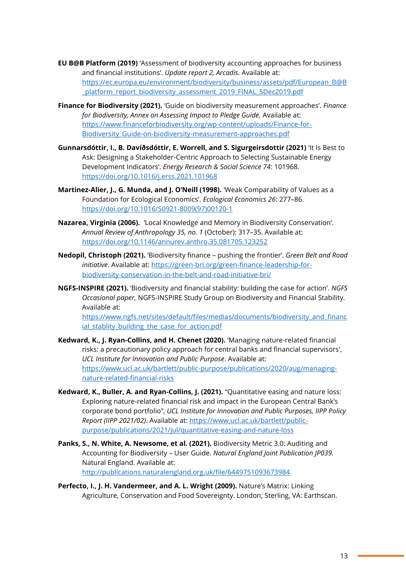- **EU B@B Platform (2019)** 'Assessment of biodiversity accounting approaches for business and financial institutions'. *Update report 2, Arcadis.* Available at: [https://ec.europa.eu/environment/biodiversity/business/assets/pdf/European\\_B@B](https://ec.europa.eu/environment/biodiversity/business/assets/pdf/European_B@B_platform_report_biodiversity_assessment_2019_FINAL_5Dec2019.pdf) [\\_platform\\_report\\_biodiversity\\_assessment\\_2019\\_FINAL\\_5Dec2019.pdf](https://ec.europa.eu/environment/biodiversity/business/assets/pdf/European_B@B_platform_report_biodiversity_assessment_2019_FINAL_5Dec2019.pdf)
- **Finance for Biodiversity (2021).** 'Guide on biodiversity measurement approaches'. *Finance for Biodiversity, Annex on Assessing Impact to Pledge Guide.* Available at: https://www.financeforbiodiversity.org/wp-content/uploads/Finance-for-Biodiversity Guide-on-biodiversity-measurement-approaches.pdf
- **Gunnarsdóttir, I., B. Davíðsdóttir, E. Worrell, and S. Sigurgeirsdottir (2021)** 'It Is Best to Ask: Designing a Stakeholder-Centric Approach to Selecting Sustainable Energy Development Indicators'. *Energy Research & Social Science 74*: 101968. <https://doi.org/10.1016/j.erss.2021.101968>
- **Martinez-Alier, J., G. Munda, and J. O'Neill (1998).** 'Weak Comparability of Values as a Foundation for Ecological Economics'. *Ecological Economics 26*: 277–86. [https://doi.org/10.1016/S0921-8009\(97\)00120-1](https://doi.org/10.1016/S0921-8009(97)00120-1)
- **Nazarea, Virginia (2006).** 'Local Knowledge and Memory in Biodiversity Conservation'. *Annual Review of Anthropology 35, no. 1* (October): 317–35. Available at: <https://doi.org/10.1146/annurev.anthro.35.081705.123252>
- **Nedopil, Christoph (2021).** 'Biodiversity finance pushing the frontier'. *Green Belt and Road initiative*. Available at: [https://green-bri.org/green-finance-leadership-for](https://green-bri.org/green-finance-leadership-for-biodiversity-conservation-in-the-belt-and-road-initiative-bri/)[biodiversity-conservation-in-the-belt-and-road-initiative-bri/](https://green-bri.org/green-finance-leadership-for-biodiversity-conservation-in-the-belt-and-road-initiative-bri/)
- **NGFS-INSPIRE (2021).** 'Biodiversity and financial stability: building the case for action'. *NGFS Occasional paper,* NGFS-INSPIRE Study Group on Biodiversity and Financial Stability. Available at:

https://www.ngfs.net/sites/default/files/medias/documents/biodiversity\_and\_financ ial\_stablity\_building\_the\_case\_for\_action.pdf

- **Kedward, K., J. Ryan-Collins, and H. Chenet (2020).** 'Managing nature-related financial risks: a precautionary policy approach for central banks and financial supervisors', *UCL Institute for Innovation and Public Purpose*. Available at: [https://www.ucl.ac.uk/bartlett/public-purpose/publications/2020/aug/managing](https://www.ucl.ac.uk/bartlett/public-purpose/publications/2020/aug/managing-nature-related-financial-risks)[nature-related-financial-risks](https://www.ucl.ac.uk/bartlett/public-purpose/publications/2020/aug/managing-nature-related-financial-risks)
- **Kedward, K., Buller, A. and Ryan-Collins, J. (2021).** "Quantitative easing and nature loss: Exploring nature-related financial risk and impact in the European Central Bank's corporate bond portfolio", *UCL Institute for Innovation and Public Purposes, IIPP Policy Report (IIPP 2021/02)*. Available at: [https://www.ucl.ac.uk/bartlett/public](https://www.ucl.ac.uk/bartlett/public-purpose/publications/2021/jul/quantitative-easing-and-nature-loss)[purpose/publications/2021/jul/quantitative-easing-and-nature-loss](https://www.ucl.ac.uk/bartlett/public-purpose/publications/2021/jul/quantitative-easing-and-nature-loss)
- **Panks, S., N. White, A. Newsome, et al. (2021).** Biodiversity Metric 3.0: Auditing and Accounting for Biodiversity – User Guide. *Natural England Joint Publication JP039.* Natural England. Available at: <http://publications.naturalengland.org.uk/file/6449751093673984>
- **Perfecto, I., J. H. Vandermeer, and A. L. Wright (2009).** Nature's Matrix: Linking Agriculture, Conservation and Food Sovereignty. London; Sterling, VA: Earthscan.